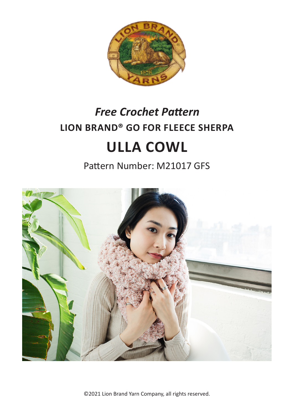

# **LION BRAND® GO FOR FLEECE SHERPA ULLA COWL** *Free Crochet Pattern*

Pattern Number: M21017 GFS



©2021 Lion Brand Yarn Company, all rights reserved.